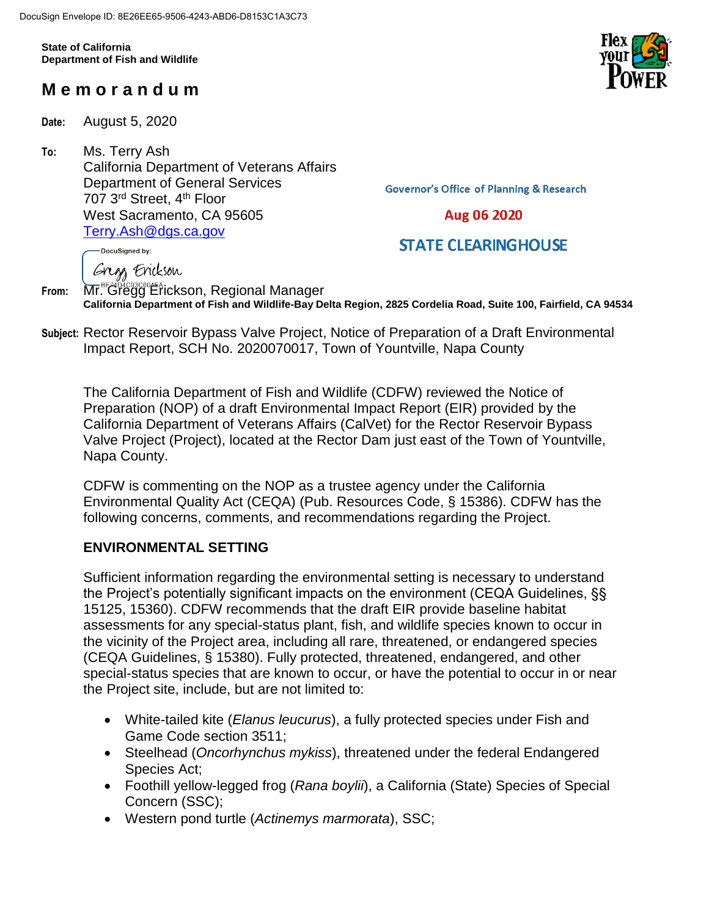**State of California Department of Fish and Wildlife**

# **M e m o r a n d u m**

**Date:** August 5, 2020

**To:** Ms. Terry Ash California Department of Veterans Affairs Department of General Services 707 3rd Street, 4th Floor West Sacramento, CA 95605 [Terry.Ash@dgs.ca.gov](mailto:Terry.Ash@dgs.ca.gov)

**Governor's Office of Planning & Research** 

## Aug 06 2020

## **STATE CLEARINGHOUSE**

DocuSigned by:

Gregs Erickson

**From:** Mr. Gregg Erickson, Regional Manager **California Department of Fish and Wildlife-Bay Delta Region, 2825 Cordelia Road, Suite 100, Fairfield, CA 94534**

**Subject:** Rector Reservoir Bypass Valve Project, Notice of Preparation of a Draft Environmental Impact Report, SCH No. 2020070017, Town of Yountville, Napa County

The California Department of Fish and Wildlife (CDFW) reviewed the Notice of Preparation (NOP) of a draft Environmental Impact Report (EIR) provided by the California Department of Veterans Affairs (CalVet) for the Rector Reservoir Bypass Valve Project (Project), located at the Rector Dam just east of the Town of Yountville, Napa County.

CDFW is commenting on the NOP as a trustee agency under the California Environmental Quality Act (CEQA) (Pub. Resources Code, § 15386). CDFW has the following concerns, comments, and recommendations regarding the Project.

## **ENVIRONMENTAL SETTING**

Sufficient information regarding the environmental setting is necessary to understand the Project's potentially significant impacts on the environment (CEQA Guidelines, §§ 15125, 15360). CDFW recommends that the draft EIR provide baseline habitat assessments for any special-status plant, fish, and wildlife species known to occur in the vicinity of the Project area, including all rare, threatened, or endangered species (CEQA Guidelines, § 15380). Fully protected, threatened, endangered, and other special-status species that are known to occur, or have the potential to occur in or near the Project site, include, but are not limited to:

- White-tailed kite (*Elanus leucurus*), a fully protected species under Fish and Game Code section 3511;
- Steelhead (*Oncorhynchus mykiss*), threatened under the federal Endangered Species Act;
- Foothill yellow-legged frog (*Rana boylii*), a California (State) Species of Special Concern (SSC);
- Western pond turtle (*Actinemys marmorata*), SSC;

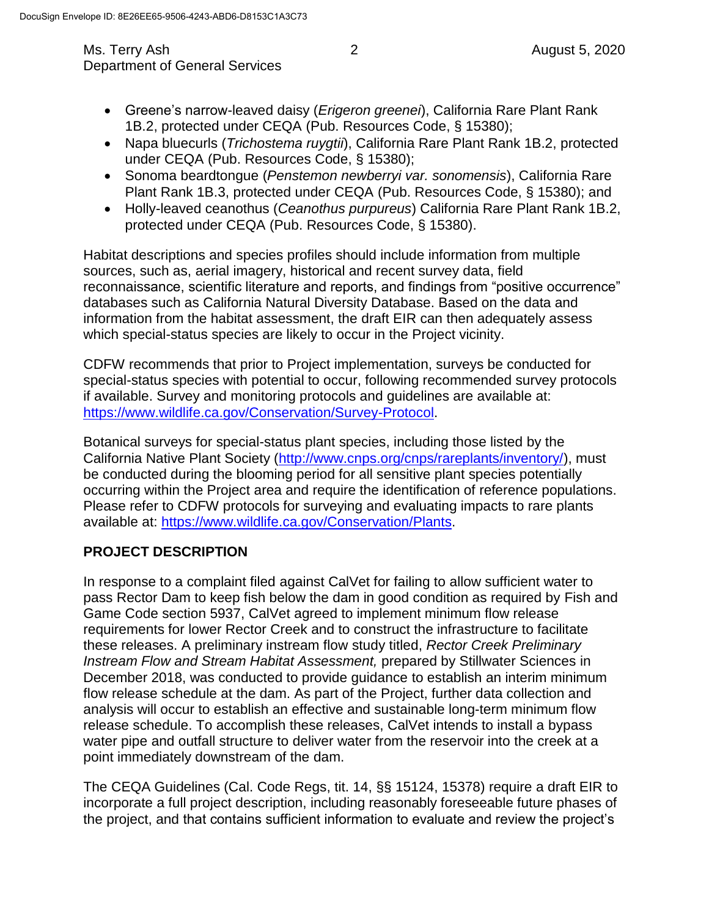- Greene's narrow-leaved daisy (*Erigeron greenei*), California Rare Plant Rank 1B.2, protected under CEQA (Pub. Resources Code, § 15380);
- Napa bluecurls (*Trichostema ruygtii*), California Rare Plant Rank 1B.2, protected under CEQA (Pub. Resources Code, § 15380);
- Sonoma beardtongue (*Penstemon newberryi var. sonomensis*), California Rare Plant Rank 1B.3, protected under CEQA (Pub. Resources Code, § 15380); and
- Holly-leaved ceanothus (*Ceanothus purpureus*) California Rare Plant Rank 1B.2, protected under CEQA (Pub. Resources Code, § 15380).

Habitat descriptions and species profiles should include information from multiple sources, such as, aerial imagery, historical and recent survey data, field reconnaissance, scientific literature and reports, and findings from "positive occurrence" databases such as California Natural Diversity Database. Based on the data and information from the habitat assessment, the draft EIR can then adequately assess which special-status species are likely to occur in the Project vicinity.

CDFW recommends that prior to Project implementation, surveys be conducted for special-status species with potential to occur, following recommended survey protocols if available. Survey and monitoring protocols and guidelines are available at: [https://www.wildlife.ca.gov/Conservation/Survey-Protocol.](https://www.wildlife.ca.gov/Conservation/Survey-Protocol)

Botanical surveys for special-status plant species, including those listed by the California Native Plant Society [\(http://www.cnps.org/cnps/rareplants/inventory/\)](http://www.cnps.org/cnps/rareplants/inventory/), must be conducted during the blooming period for all sensitive plant species potentially occurring within the Project area and require the identification of reference populations. Please refer to CDFW protocols for surveying and evaluating impacts to rare plants available at: [https://www.wildlife.ca.gov/Conservation/Plants.](https://www.wildlife.ca.gov/Conservation/Plants)

## **PROJECT DESCRIPTION**

In response to a complaint filed against CalVet for failing to allow sufficient water to pass Rector Dam to keep fish below the dam in good condition as required by Fish and Game Code section 5937, CalVet agreed to implement minimum flow release requirements for lower Rector Creek and to construct the infrastructure to facilitate these releases. A preliminary instream flow study titled, *Rector Creek Preliminary Instream Flow and Stream Habitat Assessment,* prepared by Stillwater Sciences in December 2018, was conducted to provide guidance to establish an interim minimum flow release schedule at the dam. As part of the Project, further data collection and analysis will occur to establish an effective and sustainable long-term minimum flow release schedule. To accomplish these releases, CalVet intends to install a bypass water pipe and outfall structure to deliver water from the reservoir into the creek at a point immediately downstream of the dam.

The CEQA Guidelines (Cal. Code Regs, tit. 14, §§ 15124, 15378) require a draft EIR to incorporate a full project description, including reasonably foreseeable future phases of the project, and that contains sufficient information to evaluate and review the project's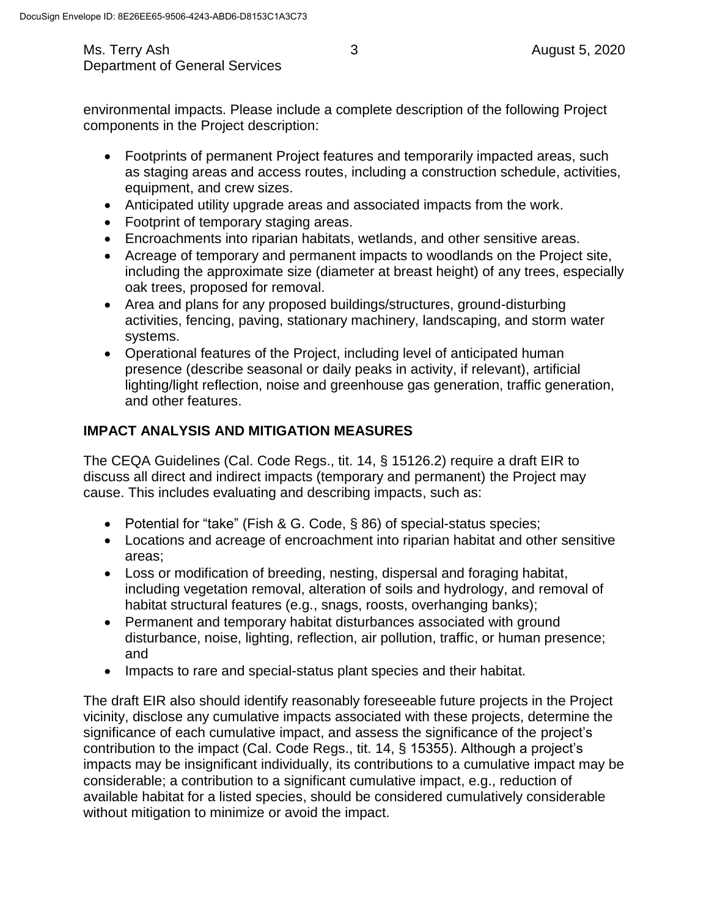environmental impacts. Please include a complete description of the following Project components in the Project description:

- Footprints of permanent Project features and temporarily impacted areas, such as staging areas and access routes, including a construction schedule, activities, equipment, and crew sizes.
- Anticipated utility upgrade areas and associated impacts from the work.
- Footprint of temporary staging areas.
- Encroachments into riparian habitats, wetlands, and other sensitive areas.
- Acreage of temporary and permanent impacts to woodlands on the Project site, including the approximate size (diameter at breast height) of any trees, especially oak trees, proposed for removal.
- Area and plans for any proposed buildings/structures, ground-disturbing activities, fencing, paving, stationary machinery, landscaping, and storm water systems.
- Operational features of the Project, including level of anticipated human presence (describe seasonal or daily peaks in activity, if relevant), artificial lighting/light reflection, noise and greenhouse gas generation, traffic generation, and other features.

## **IMPACT ANALYSIS AND MITIGATION MEASURES**

The CEQA Guidelines (Cal. Code Regs., tit. 14, § 15126.2) require a draft EIR to discuss all direct and indirect impacts (temporary and permanent) the Project may cause. This includes evaluating and describing impacts, such as:

- Potential for "take" (Fish & G. Code, § 86) of special-status species;
- Locations and acreage of encroachment into riparian habitat and other sensitive areas;
- Loss or modification of breeding, nesting, dispersal and foraging habitat, including vegetation removal, alteration of soils and hydrology, and removal of habitat structural features (e.g., snags, roosts, overhanging banks);
- Permanent and temporary habitat disturbances associated with ground disturbance, noise, lighting, reflection, air pollution, traffic, or human presence; and
- Impacts to rare and special-status plant species and their habitat.

The draft EIR also should identify reasonably foreseeable future projects in the Project vicinity, disclose any cumulative impacts associated with these projects, determine the significance of each cumulative impact, and assess the significance of the project's contribution to the impact (Cal. Code Regs., tit. 14, § 15355). Although a project's impacts may be insignificant individually, its contributions to a cumulative impact may be considerable; a contribution to a significant cumulative impact, e.g., reduction of available habitat for a listed species, should be considered cumulatively considerable without mitigation to minimize or avoid the impact.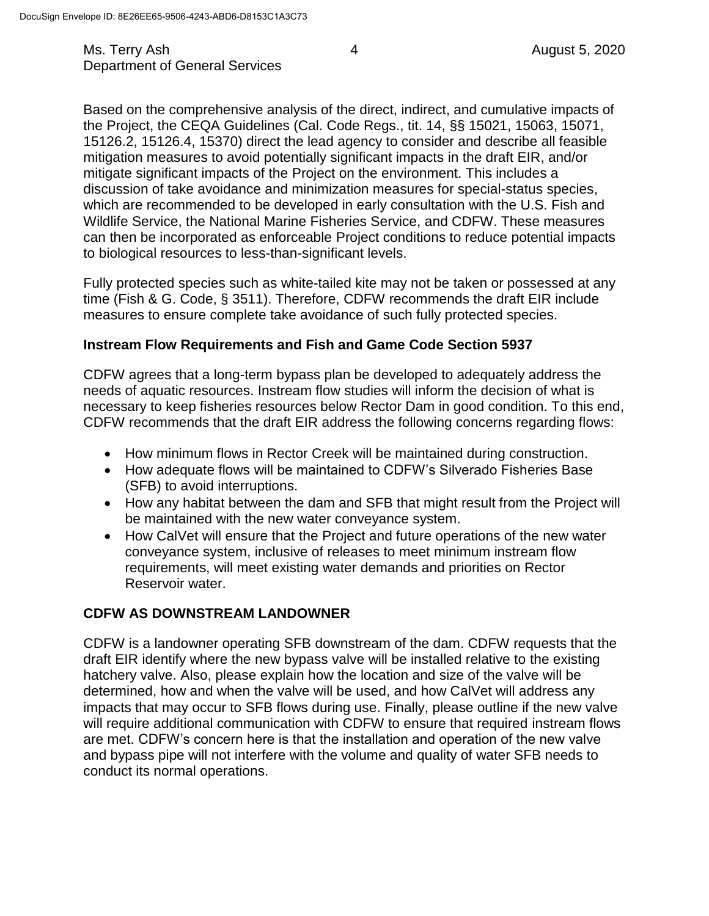Ms. Terry Ash 4 August 5, 2020 Department of General Services

Based on the comprehensive analysis of the direct, indirect, and cumulative impacts of the Project, the CEQA Guidelines (Cal. Code Regs., tit. 14, §§ 15021, 15063, 15071, 15126.2, 15126.4, 15370) direct the lead agency to consider and describe all feasible mitigation measures to avoid potentially significant impacts in the draft EIR, and/or mitigate significant impacts of the Project on the environment. This includes a discussion of take avoidance and minimization measures for special-status species, which are recommended to be developed in early consultation with the U.S. Fish and Wildlife Service, the National Marine Fisheries Service, and CDFW. These measures can then be incorporated as enforceable Project conditions to reduce potential impacts to biological resources to less-than-significant levels.

Fully protected species such as white-tailed kite may not be taken or possessed at any time (Fish & G. Code, § 3511). Therefore, CDFW recommends the draft EIR include measures to ensure complete take avoidance of such fully protected species.

#### **Instream Flow Requirements and Fish and Game Code Section 5937**

CDFW agrees that a long-term bypass plan be developed to adequately address the needs of aquatic resources. Instream flow studies will inform the decision of what is necessary to keep fisheries resources below Rector Dam in good condition. To this end, CDFW recommends that the draft EIR address the following concerns regarding flows:

- How minimum flows in Rector Creek will be maintained during construction.
- How adequate flows will be maintained to CDFW's Silverado Fisheries Base (SFB) to avoid interruptions.
- How any habitat between the dam and SFB that might result from the Project will be maintained with the new water conveyance system.
- How CalVet will ensure that the Project and future operations of the new water conveyance system, inclusive of releases to meet minimum instream flow requirements, will meet existing water demands and priorities on Rector Reservoir water.

#### **CDFW AS DOWNSTREAM LANDOWNER**

CDFW is a landowner operating SFB downstream of the dam. CDFW requests that the draft EIR identify where the new bypass valve will be installed relative to the existing hatchery valve. Also, please explain how the location and size of the valve will be determined, how and when the valve will be used, and how CalVet will address any impacts that may occur to SFB flows during use. Finally, please outline if the new valve will require additional communication with CDFW to ensure that required instream flows are met. CDFW's concern here is that the installation and operation of the new valve and bypass pipe will not interfere with the volume and quality of water SFB needs to conduct its normal operations.